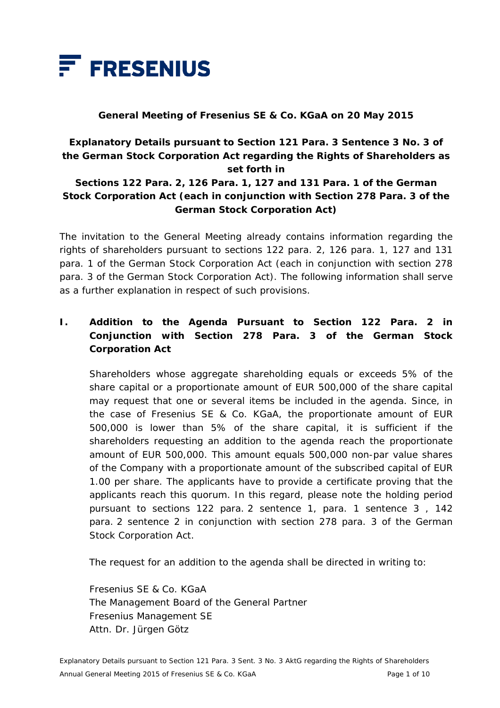

#### **General Meeting of Fresenius SE & Co. KGaA on 20 May 2015**

## **Explanatory Details pursuant to Section 121 Para. 3 Sentence 3 No. 3 of the German Stock Corporation Act regarding the Rights of Shareholders as set forth in**

#### **Sections 122 Para. 2, 126 Para. 1, 127 and 131 Para. 1 of the German Stock Corporation Act (each in conjunction with Section 278 Para. 3 of the German Stock Corporation Act)**

The invitation to the General Meeting already contains information regarding the rights of shareholders pursuant to sections 122 para. 2, 126 para. 1, 127 and 131 para. 1 of the German Stock Corporation Act (each in conjunction with section 278 para. 3 of the German Stock Corporation Act). The following information shall serve as a further explanation in respect of such provisions.

## **I. Addition to the Agenda Pursuant to Section 122 Para. 2 in Conjunction with Section 278 Para. 3 of the German Stock Corporation Act**

 Shareholders whose aggregate shareholding equals or exceeds 5% of the share capital or a proportionate amount of EUR 500,000 of the share capital may request that one or several items be included in the agenda. Since, in the case of Fresenius SE & Co. KGaA, the proportionate amount of EUR 500,000 is lower than 5% of the share capital, it is sufficient if the shareholders requesting an addition to the agenda reach the proportionate amount of EUR 500,000. This amount equals 500,000 non-par value shares of the Company with a proportionate amount of the subscribed capital of EUR 1.00 per share. The applicants have to provide a certificate proving that the applicants reach this quorum. In this regard, please note the holding period pursuant to sections 122 para. 2 sentence 1, para. 1 sentence 3 , 142 para. 2 sentence 2 in conjunction with section 278 para. 3 of the German Stock Corporation Act.

The request for an addition to the agenda shall be directed in writing to:

 Fresenius SE & Co. KGaA The Management Board of the General Partner Fresenius Management SE Attn. Dr. Jürgen Götz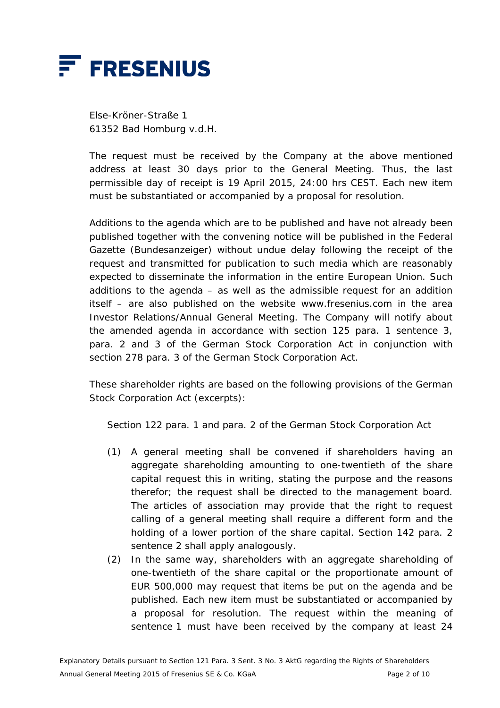

 Else-Kröner-Straße 1 61352 Bad Homburg v.d.H.

 The request must be received by the Company at the above mentioned address at least 30 days prior to the General Meeting. Thus, the last permissible day of receipt is 19 April 2015, 24:00 hrs CEST. Each new item must be substantiated or accompanied by a proposal for resolution.

 Additions to the agenda which are to be published and have not already been published together with the convening notice will be published in the Federal Gazette (*Bundesanzeiger*) without undue delay following the receipt of the request and transmitted for publication to such media which are reasonably expected to disseminate the information in the entire European Union. Such additions to the agenda  $-$  as well as the admissible request for an addition itself – are also published on the website www.fresenius.com in the area Investor Relations/Annual General Meeting. The Company will notify about the amended agenda in accordance with section 125 para. 1 sentence 3, para. 2 and 3 of the German Stock Corporation Act in conjunction with section 278 para. 3 of the German Stock Corporation Act.

 These shareholder rights are based on the following provisions of the German Stock Corporation Act (excerpts):

Section 122 para. 1 and para. 2 of the German Stock Corporation Act

- (1) A general meeting shall be convened if shareholders having an aggregate shareholding amounting to one-twentieth of the share capital request this in writing, stating the purpose and the reasons therefor; the request shall be directed to the management board. The articles of association may provide that the right to request calling of a general meeting shall require a different form and the holding of a lower portion of the share capital. Section 142 para. 2 sentence 2 shall apply analogously.
- (2) In the same way, shareholders with an aggregate shareholding of one-twentieth of the share capital or the proportionate amount of EUR 500,000 may request that items be put on the agenda and be published. Each new item must be substantiated or accompanied by a proposal for resolution. The request within the meaning of sentence 1 must have been received by the company at least 24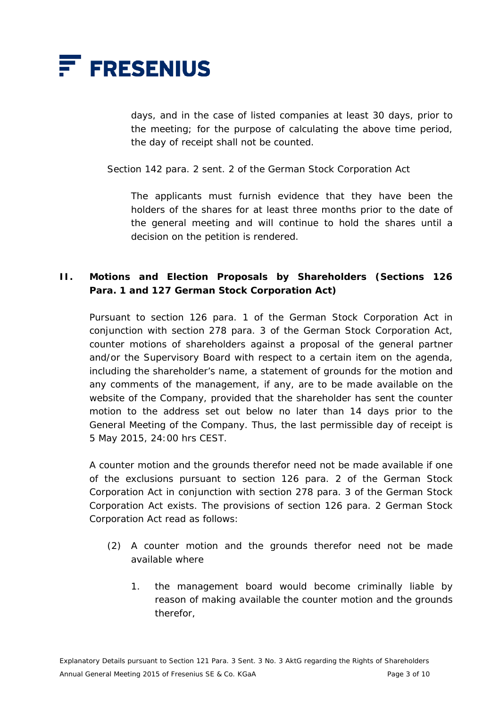

days, and in the case of listed companies at least 30 days, prior to the meeting; for the purpose of calculating the above time period, the day of receipt shall not be counted.

Section 142 para. 2 sent. 2 of the German Stock Corporation Act

 The applicants must furnish evidence that they have been the holders of the shares for at least three months prior to the date of the general meeting and will continue to hold the shares until a decision on the petition is rendered.

#### **II. Motions and Election Proposals by Shareholders (Sections 126 Para. 1 and 127 German Stock Corporation Act)**

 Pursuant to section 126 para. 1 of the German Stock Corporation Act in conjunction with section 278 para. 3 of the German Stock Corporation Act, counter motions of shareholders against a proposal of the general partner and/or the Supervisory Board with respect to a certain item on the agenda, including the shareholder's name, a statement of grounds for the motion and any comments of the management, if any, are to be made available on the website of the Company, provided that the shareholder has sent the counter motion to the address set out below no later than 14 days prior to the General Meeting of the Company. Thus, the last permissible day of receipt is 5 May 2015, 24:00 hrs CEST.

 A counter motion and the grounds therefor need not be made available if one of the exclusions pursuant to section 126 para. 2 of the German Stock Corporation Act in conjunction with section 278 para. 3 of the German Stock Corporation Act exists. The provisions of section 126 para. 2 German Stock Corporation Act read as follows:

- (2) A counter motion and the grounds therefor need not be made available where
	- 1. the management board would become criminally liable by reason of making available the counter motion and the grounds therefor,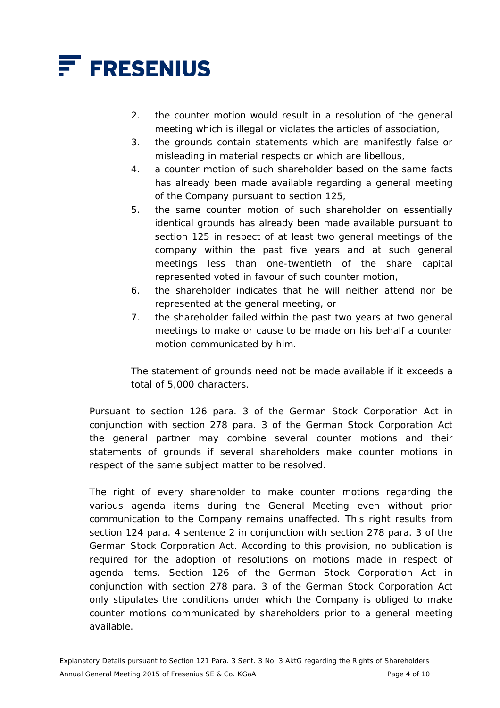

- 2. the counter motion would result in a resolution of the general meeting which is illegal or violates the articles of association,
- 3. the grounds contain statements which are manifestly false or misleading in material respects or which are libellous,
- 4. a counter motion of such shareholder based on the same facts has already been made available regarding a general meeting of the Company pursuant to section 125,
- 5. the same counter motion of such shareholder on essentially identical grounds has already been made available pursuant to section 125 in respect of at least two general meetings of the company within the past five years and at such general meetings less than one-twentieth of the share capital represented voted in favour of such counter motion,
- 6. the shareholder indicates that he will neither attend nor be represented at the general meeting, or
- 7. the shareholder failed within the past two years at two general meetings to make or cause to be made on his behalf a counter motion communicated by him.

 The statement of grounds need not be made available if it exceeds a total of 5,000 characters.

 Pursuant to section 126 para. 3 of the German Stock Corporation Act in conjunction with section 278 para. 3 of the German Stock Corporation Act the general partner may combine several counter motions and their statements of grounds if several shareholders make counter motions in respect of the same subject matter to be resolved.

The right of every shareholder to make counter motions regarding the various agenda items during the General Meeting even without prior communication to the Company remains unaffected. This right results from section 124 para. 4 sentence 2 in conjunction with section 278 para. 3 of the German Stock Corporation Act. According to this provision, no publication is required for the adoption of resolutions on motions made in respect of agenda items. Section 126 of the German Stock Corporation Act in conjunction with section 278 para. 3 of the German Stock Corporation Act only stipulates the conditions under which the Company is obliged to make counter motions communicated by shareholders prior to a general meeting available.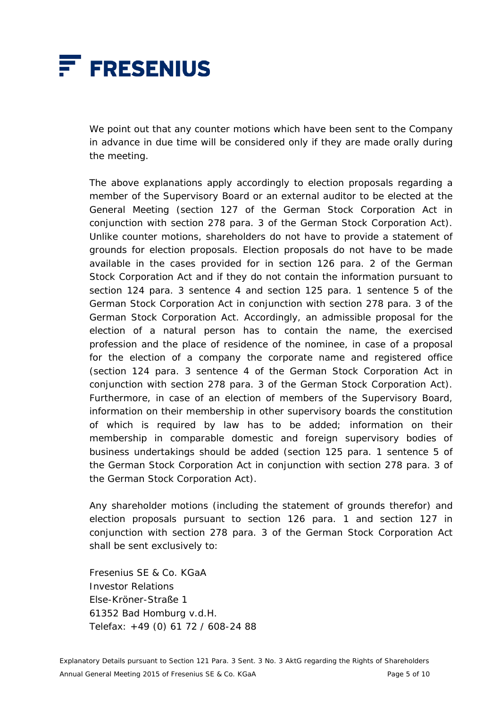

 We point out that any counter motions which have been sent to the Company in advance in due time will be considered only if they are made orally during the meeting.

 The above explanations apply accordingly to election proposals regarding a member of the Supervisory Board or an external auditor to be elected at the General Meeting (section 127 of the German Stock Corporation Act in conjunction with section 278 para. 3 of the German Stock Corporation Act). Unlike counter motions, shareholders do not have to provide a statement of grounds for election proposals. Election proposals do not have to be made available in the cases provided for in section 126 para. 2 of the German Stock Corporation Act and if they do not contain the information pursuant to section 124 para. 3 sentence 4 and section 125 para. 1 sentence 5 of the German Stock Corporation Act in conjunction with section 278 para. 3 of the German Stock Corporation Act. Accordingly, an admissible proposal for the election of a natural person has to contain the name, the exercised profession and the place of residence of the nominee, in case of a proposal for the election of a company the corporate name and registered office (section 124 para. 3 sentence 4 of the German Stock Corporation Act in conjunction with section 278 para. 3 of the German Stock Corporation Act). Furthermore, in case of an election of members of the Supervisory Board, information on their membership in other supervisory boards the constitution of which is required by law has to be added; information on their membership in comparable domestic and foreign supervisory bodies of business undertakings should be added (section 125 para. 1 sentence 5 of the German Stock Corporation Act in conjunction with section 278 para. 3 of the German Stock Corporation Act).

 Any shareholder motions (including the statement of grounds therefor) and election proposals pursuant to section 126 para. 1 and section 127 in conjunction with section 278 para. 3 of the German Stock Corporation Act shall be sent exclusively to:

 Fresenius SE & Co. KGaA Investor Relations Else-Kröner-Straße 1 61352 Bad Homburg v.d.H. Telefax: +49 (0) 61 72 / 608-24 88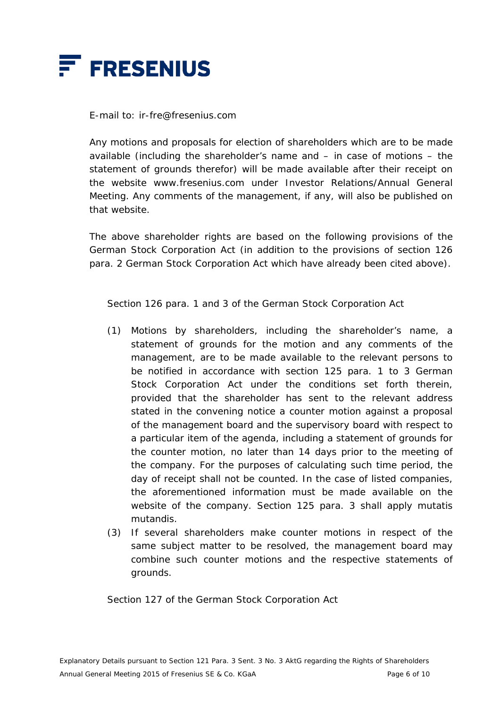

E-mail to: ir-fre@fresenius.com

 Any motions and proposals for election of shareholders which are to be made available (including the shareholder's name and – in case of motions – the statement of grounds therefor) will be made available after their receipt on the website www.fresenius.com under Investor Relations/Annual General Meeting. Any comments of the management, if any, will also be published on that website.

 The above shareholder rights are based on the following provisions of the German Stock Corporation Act (in addition to the provisions of section 126 para. 2 German Stock Corporation Act which have already been cited above).

Section 126 para. 1 and 3 of the German Stock Corporation Act

- (1) Motions by shareholders, including the shareholder's name, a statement of grounds for the motion and any comments of the management, are to be made available to the relevant persons to be notified in accordance with section 125 para. 1 to 3 German Stock Corporation Act under the conditions set forth therein, provided that the shareholder has sent to the relevant address stated in the convening notice a counter motion against a proposal of the management board and the supervisory board with respect to a particular item of the agenda, including a statement of grounds for the counter motion, no later than 14 days prior to the meeting of the company. For the purposes of calculating such time period, the day of receipt shall not be counted. In the case of listed companies, the aforementioned information must be made available on the website of the company. Section 125 para. 3 shall apply mutatis mutandis.
- (3) If several shareholders make counter motions in respect of the same subject matter to be resolved, the management board may combine such counter motions and the respective statements of grounds.

Section 127 of the German Stock Corporation Act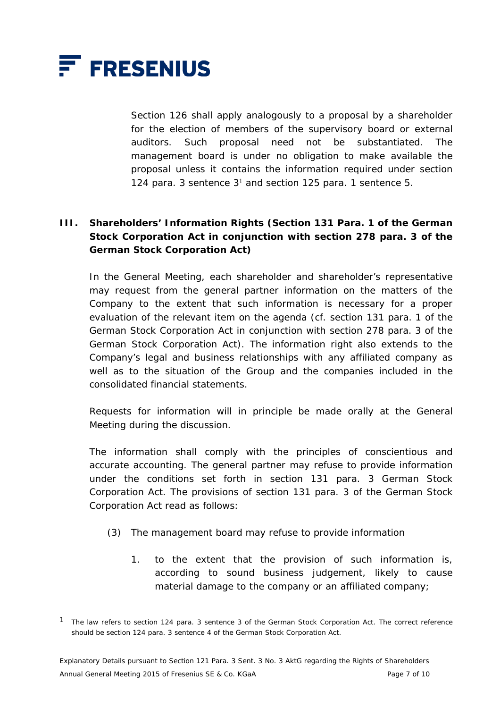

 $\overline{a}$ 

 Section 126 shall apply analogously to a proposal by a shareholder for the election of members of the supervisory board or external auditors. Such proposal need not be substantiated. The management board is under no obligation to make available the proposal unless it contains the information required under section 124 para. 3 sentence  $3<sup>1</sup>$  and section 125 para. 1 sentence 5.

# **III. Shareholders' Information Rights (Section 131 Para. 1 of the German Stock Corporation Act in conjunction with section 278 para. 3 of the German Stock Corporation Act)**

 In the General Meeting, each shareholder and shareholder's representative may request from the general partner information on the matters of the Company to the extent that such information is necessary for a proper evaluation of the relevant item on the agenda (cf. section 131 para. 1 of the German Stock Corporation Act in conjunction with section 278 para. 3 of the German Stock Corporation Act). The information right also extends to the Company's legal and business relationships with any affiliated company as well as to the situation of the Group and the companies included in the consolidated financial statements.

 Requests for information will in principle be made orally at the General Meeting during the discussion.

 The information shall comply with the principles of conscientious and accurate accounting. The general partner may refuse to provide information under the conditions set forth in section 131 para. 3 German Stock Corporation Act. The provisions of section 131 para. 3 of the German Stock Corporation Act read as follows:

- (3) The management board may refuse to provide information
	- 1. to the extent that the provision of such information is, according to sound business judgement, likely to cause material damage to the company or an affiliated company;

<sup>1</sup> The law refers to section 124 para. 3 sentence 3 of the German Stock Corporation Act. The correct reference should be section 124 para. 3 sentence 4 of the German Stock Corporation Act.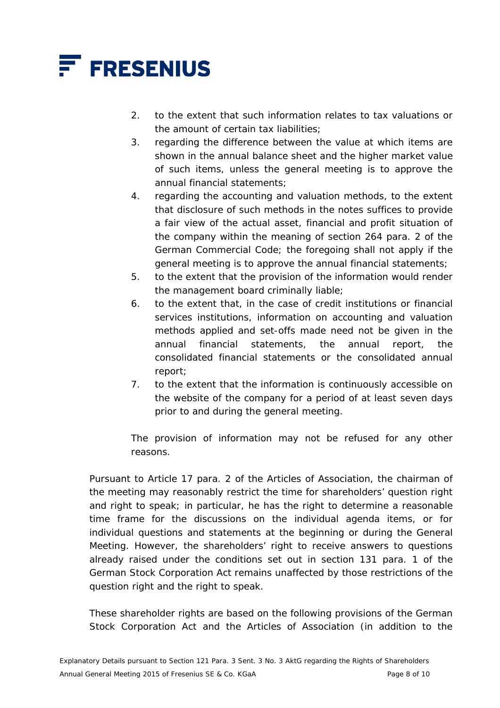

- 2. to the extent that such information relates to tax valuations or the amount of certain tax liabilities;
- 3. regarding the difference between the value at which items are shown in the annual balance sheet and the higher market value of such items, unless the general meeting is to approve the annual financial statements;
- 4. regarding the accounting and valuation methods, to the extent that disclosure of such methods in the notes suffices to provide a fair view of the actual asset, financial and profit situation of the company within the meaning of section 264 para. 2 of the German Commercial Code; the foregoing shall not apply if the general meeting is to approve the annual financial statements;
- 5. to the extent that the provision of the information would render the management board criminally liable;
- 6. to the extent that, in the case of credit institutions or financial services institutions, information on accounting and valuation methods applied and set-offs made need not be given in the annual financial statements, the annual report, the consolidated financial statements or the consolidated annual report;
- 7. to the extent that the information is continuously accessible on the website of the company for a period of at least seven days prior to and during the general meeting.

 The provision of information may not be refused for any other reasons.

 Pursuant to Article 17 para. 2 of the Articles of Association, the chairman of the meeting may reasonably restrict the time for shareholders' question right and right to speak; in particular, he has the right to determine a reasonable time frame for the discussions on the individual agenda items, or for individual questions and statements at the beginning or during the General Meeting. However, the shareholders' right to receive answers to questions already raised under the conditions set out in section 131 para. 1 of the German Stock Corporation Act remains unaffected by those restrictions of the question right and the right to speak.

 These shareholder rights are based on the following provisions of the German Stock Corporation Act and the Articles of Association (in addition to the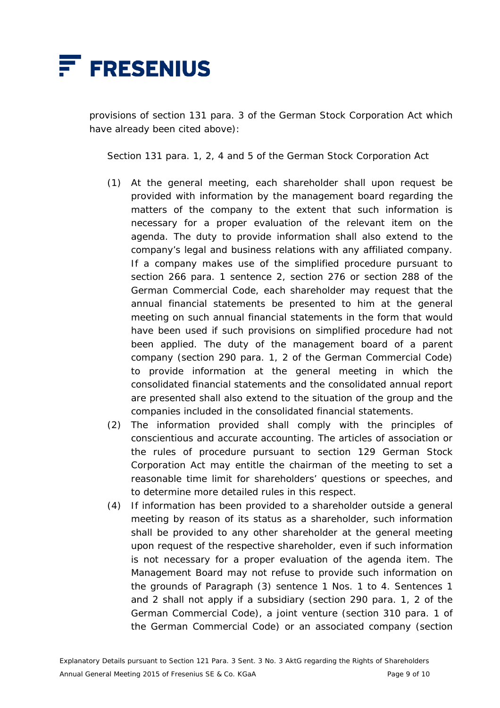

provisions of section 131 para. 3 of the German Stock Corporation Act which have already been cited above):

Section 131 para. 1, 2, 4 and 5 of the German Stock Corporation Act

- (1) At the general meeting, each shareholder shall upon request be provided with information by the management board regarding the matters of the company to the extent that such information is necessary for a proper evaluation of the relevant item on the agenda. The duty to provide information shall also extend to the company's legal and business relations with any affiliated company. If a company makes use of the simplified procedure pursuant to section 266 para. 1 sentence 2, section 276 or section 288 of the German Commercial Code, each shareholder may request that the annual financial statements be presented to him at the general meeting on such annual financial statements in the form that would have been used if such provisions on simplified procedure had not been applied. The duty of the management board of a parent company (section 290 para. 1, 2 of the German Commercial Code) to provide information at the general meeting in which the consolidated financial statements and the consolidated annual report are presented shall also extend to the situation of the group and the companies included in the consolidated financial statements.
- (2) The information provided shall comply with the principles of conscientious and accurate accounting. The articles of association or the rules of procedure pursuant to section 129 German Stock Corporation Act may entitle the chairman of the meeting to set a reasonable time limit for shareholders' questions or speeches, and to determine more detailed rules in this respect.
- (4) If information has been provided to a shareholder outside a general meeting by reason of its status as a shareholder, such information shall be provided to any other shareholder at the general meeting upon request of the respective shareholder, even if such information is not necessary for a proper evaluation of the agenda item. The Management Board may not refuse to provide such information on the grounds of Paragraph (3) sentence 1 Nos. 1 to 4. Sentences 1 and 2 shall not apply if a subsidiary (section 290 para. 1, 2 of the German Commercial Code), a joint venture (section 310 para. 1 of the German Commercial Code) or an associated company (section